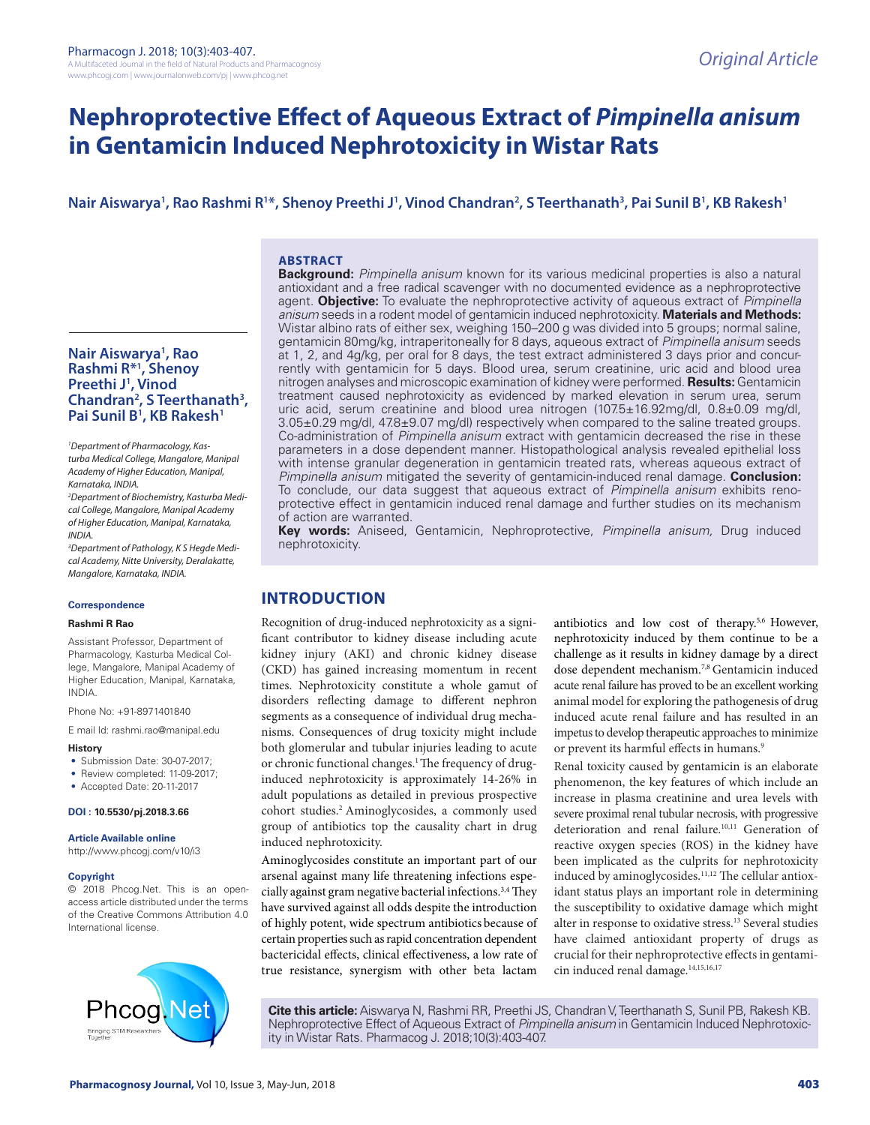# **Nephroprotective Effect of Aqueous Extract of** *Pimpinella anisum* **in Gentamicin Induced Nephrotoxicity in Wistar Rats**

# **Nair Aiswarya1 , Rao Rashmi R1 \*, Shenoy Preethi J1 , Vinod Chandran2 , S Teerthanath3 , Pai Sunil B1 , KB Rakesh1**

## **ABSTRACT**

**Nair Aiswarya1 , Rao Rashmi R\*1 , Shenoy Preethi J1 , Vinod Chandran2 , S Teerthanath3 ,**  Pai Sunil B<sup>1</sup>, KB Rakesh<sup>1</sup>

*1 Department of Pharmacology, Kasturba Medical College, Mangalore, Manipal Academy of Higher Education, Manipal, Karnataka, INDIA.*

*2 Department of Biochemistry, Kasturba Medical College, Mangalore, Manipal Academy of Higher Education, Manipal, Karnataka, INDIA.*

*3 Department of Pathology, K S Hegde Medical Academy, Nitte University, Deralakatte, Mangalore, Karnataka, INDIA.*

#### **Correspondence**

#### **Rashmi R Rao**

Assistant Professor, Department of Pharmacology, Kasturba Medical College, Mangalore, Manipal Academy of Higher Education, Manipal, Karnataka, INDIA.

Phone No: +91-8971401840

E mail Id: rashmi.rao@manipal.edu

- **History**
- Submission Date: 30-07-2017;
- Review completed: 11-09-2017;
- Accepted Date: 20-11-2017

**DOI : 10.5530/pj.2018.3.66**

#### **Article Available online**

http://www.phcogj.com/v10/i3

#### **Copyright**

© 2018 Phcog.Net. This is an openaccess article distributed under the terms of the Creative Commons Attribution 4.0 International license.



**Background:** *Pimpinella anisum* known for its various medicinal properties is also a natural antioxidant and a free radical scavenger with no documented evidence as a nephroprotective agent. **Objective:** To evaluate the nephroprotective activity of aqueous extract of *Pimpinella anisum* seeds in a rodent model of gentamicin induced nephrotoxicity. **Materials and Methods:**  Wistar albino rats of either sex, weighing 150–200 g was divided into 5 groups; normal saline, gentamicin 80mg/kg, intraperitoneally for 8 days, aqueous extract of *Pimpinella anisum* seeds at 1, 2, and 4g/kg, per oral for 8 days, the test extract administered 3 days prior and concurrently with gentamicin for 5 days. Blood urea, serum creatinine, uric acid and blood urea nitrogen analyses and microscopic examination of kidney were performed. **Results:** Gentamicin treatment caused nephrotoxicity as evidenced by marked elevation in serum urea, serum uric acid, serum creatinine and blood urea nitrogen (107.5±16.92mg/dl, 0.8±0.09 mg/dl, 3.05±0.29 mg/dl, 47.8±9.07 mg/dl) respectively when compared to the saline treated groups. Co-administration of *Pimpinella anisum* extract with gentamicin decreased the rise in these parameters in a dose dependent manner. Histopathological analysis revealed epithelial loss with intense granular degeneration in gentamicin treated rats, whereas aqueous extract of *Pimpinella anisum* mitigated the severity of gentamicin-induced renal damage. **Conclusion:**  To conclude, our data suggest that aqueous extract of *Pimpinella anisum* exhibits renoprotective effect in gentamicin induced renal damage and further studies on its mechanism of action are warranted.

**Key words:** Aniseed, Gentamicin, Nephroprotective, *Pimpinella anisum,* Drug induced nephrotoxicity.

# **INTRODUCTION**

Recognition of drug-induced nephrotoxicity as a significant contributor to kidney disease including acute kidney injury (AKI) and chronic kidney disease (CKD) has gained increasing momentum in recent times. Nephrotoxicity constitute a whole gamut of disorders reflecting damage to different nephron segments as a consequence of individual drug mechanisms. Consequences of drug toxicity might include both glomerular and tubular injuries leading to acute or chronic functional changes.<sup>1</sup> The frequency of druginduced nephrotoxicity is approximately 14-26% in adult populations as detailed in previous prospective cohort studies.2 Aminoglycosides, a commonly used group of antibiotics top the causality chart in drug induced nephrotoxicity.

Aminoglycosides constitute an important part of our arsenal against many life threatening infections especially against gram negative bacterial infections.<sup>3,4</sup> They have survived against all odds despite the introduction of highly potent, wide spectrum antibiotics because of certain properties such as rapid concentration dependent bactericidal effects, clinical effectiveness, a low rate of true resistance, synergism with other beta lactam antibiotics and low cost of therapy.<sup>5,6</sup> However, nephrotoxicity induced by them continue to be a challenge as it results in kidney damage by a direct dose dependent mechanism.7,8 Gentamicin induced acute renal failure has proved to be an excellent working animal model for exploring the pathogenesis of drug induced acute renal failure and has resulted in an impetus to develop therapeutic approaches to minimize or prevent its harmful effects in humans.<sup>9</sup>

Renal toxicity caused by gentamicin is an elaborate phenomenon, the key features of which include an increase in plasma creatinine and urea levels with severe proximal renal tubular necrosis, with progressive deterioration and renal failure.<sup>10,11</sup> Generation of reactive oxygen species (ROS) in the kidney have been implicated as the culprits for nephrotoxicity induced by aminoglycosides.<sup>11,12</sup> The cellular antioxidant status plays an important role in determining the susceptibility to oxidative damage which might alter in response to oxidative stress.13 Several studies have claimed antioxidant property of drugs as crucial for their nephroprotective effects in gentamicin induced renal damage.<sup>14,15,16,17</sup>

**Cite this article:** Aiswarya N, Rashmi RR, Preethi JS, Chandran V, Teerthanath S, Sunil PB, Rakesh KB. Nephroprotective Effect of Aqueous Extract of *Pimpinella anisum* in Gentamicin Induced Nephrotoxicity in Wistar Rats. Pharmacog J. 2018;10(3):403-407.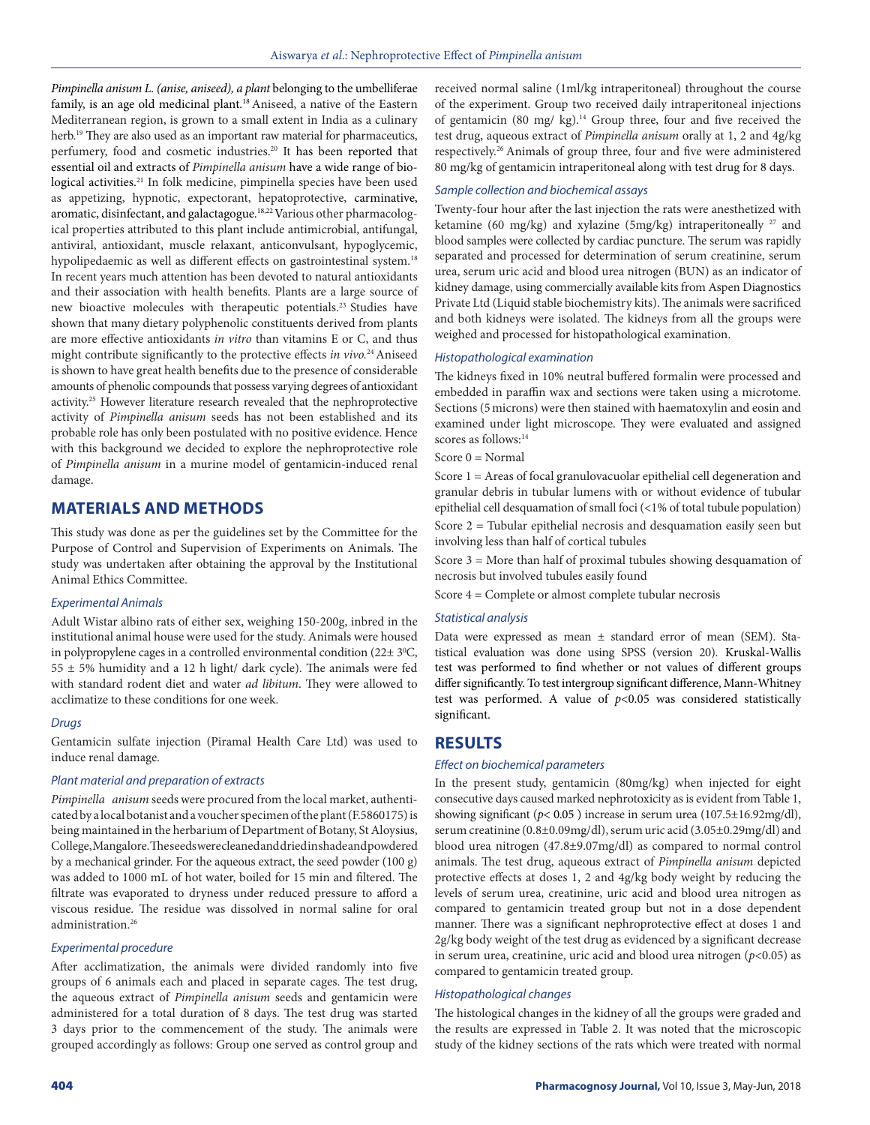*Pimpinella anisum L. (anise, aniseed), a plant* belonging to the umbelliferae family, is an age old medicinal plant.<sup>18</sup> Aniseed, a native of the Eastern Mediterranean region, is grown to a small extent in India as a culinary herb.<sup>19</sup> They are also used as an important raw material for pharmaceutics, perfumery, food and cosmetic industries.<sup>20</sup> It has been reported that essential oil and extracts of *Pimpinella anisum* have a wide range of biological activities.21 In folk medicine, pimpinella species have been used as appetizing, hypnotic, expectorant, hepatoprotective, carminative, aromatic, disinfectant, and galactagogue.18,22 Various other pharmacological properties attributed to this plant include antimicrobial, antifungal, antiviral, antioxidant, muscle relaxant, anticonvulsant, hypoglycemic, hypolipedaemic as well as different effects on gastrointestinal system.<sup>18</sup> In recent years much attention has been devoted to natural antioxidants and their association with health benefits. Plants are a large source of new bioactive molecules with therapeutic potentials.23 Studies have shown that many dietary polyphenolic constituents derived from plants are more effective antioxidants *in vitro* than vitamins E or C, and thus might contribute significantly to the protective effects *in vivo.*24 Aniseed is shown to have great health benefits due to the presence of considerable amounts of phenolic compounds that possess varying degrees of antioxidant activity.25 However literature research revealed that the nephroprotective activity of *Pimpinella anisum* seeds has not been established and its probable role has only been postulated with no positive evidence. Hence with this background we decided to explore the nephroprotective role of *Pimpinella anisum* in a murine model of gentamicin-induced renal damage.

# **MATERIALS AND METHODS**

This study was done as per the guidelines set by the Committee for the Purpose of Control and Supervision of Experiments on Animals. The study was undertaken after obtaining the approval by the Institutional Animal Ethics Committee.

#### *Experimental Animals*

Adult Wistar albino rats of either sex, weighing 150-200g, inbred in the institutional animal house were used for the study. Animals were housed in polypropylene cages in a controlled environmental condition  $(22 \pm 3^{\circ}C,$  $55 \pm 5\%$  humidity and a 12 h light/ dark cycle). The animals were fed with standard rodent diet and water *ad libitum*. They were allowed to acclimatize to these conditions for one week.

## *Drugs*

Gentamicin sulfate injection (Piramal Health Care Ltd) was used to induce renal damage.

## *Plant material and preparation of extracts*

*Pimpinella anisum* seeds were procured from the local market, authenticated by a local botanist and a voucher specimen of the plant (F.5860175) is being maintained in the herbarium of Department of Botany, St Aloysius, College, Mangalore. The seeds were cleaned and dried in shade and powdered by a mechanical grinder. For the aqueous extract, the seed powder (100 g) was added to 1000 mL of hot water, boiled for 15 min and filtered. The filtrate was evaporated to dryness under reduced pressure to afford a viscous residue. The residue was dissolved in normal saline for oral administration.<sup>26</sup>

#### *Experimental procedure*

After acclimatization, the animals were divided randomly into five groups of 6 animals each and placed in separate cages. The test drug, the aqueous extract of *Pimpinella anisum* seeds and gentamicin were administered for a total duration of 8 days. The test drug was started 3 days prior to the commencement of the study. The animals were grouped accordingly as follows: Group one served as control group and received normal saline (1ml/kg intraperitoneal) throughout the course of the experiment. Group two received daily intraperitoneal injections of gentamicin (80 mg/ kg).<sup>14</sup> Group three, four and five received the test drug, aqueous extract of *Pimpinella anisum* orally at 1, 2 and 4g/kg respectively.26 Animals of group three, four and five were administered 80 mg/kg of gentamicin intraperitoneal along with test drug for 8 days.

#### *Sample collection and biochemical assays*

Twenty-four hour after the last injection the rats were anesthetized with ketamine (60 mg/kg) and xylazine (5mg/kg) intraperitoneally <sup>27</sup> and blood samples were collected by cardiac puncture. The serum was rapidly separated and processed for determination of serum creatinine, serum urea, serum uric acid and blood urea nitrogen (BUN) as an indicator of kidney damage, using commercially available kits from Aspen Diagnostics Private Ltd (Liquid stable biochemistry kits). The animals were sacrificed and both kidneys were isolated. The kidneys from all the groups were weighed and processed for histopathological examination.

## *Histopathological examination*

The kidneys fixed in 10% neutral buffered formalin were processed and embedded in paraffin wax and sections were taken using a microtome. Sections (5microns) were then stained with haematoxylin and eosin and examined under light microscope. They were evaluated and assigned scores as follows:<sup>14</sup>

Score  $0 = Normal$ 

Score 1 = Areas of focal granulovacuolar epithelial cell degeneration and granular debris in tubular lumens with or without evidence of tubular epithelial cell desquamation of small foci (<1% of total tubule population)

Score 2 = Tubular epithelial necrosis and desquamation easily seen but involving less than half of cortical tubules

Score 3 = More than half of proximal tubules showing desquamation of necrosis but involved tubules easily found

Score 4 = Complete or almost complete tubular necrosis

#### *Statistical analysis*

Data were expressed as mean ± standard error of mean (SEM). Statistical evaluation was done using SPSS (version 20). Kruskal-Wallis test was performed to find whether or not values of different groups differ significantly. To test intergroup significant difference, Mann-Whitney test was performed. A value of  $p<0.05$  was considered statistically significant.

# **RESULTS**

## *Effect on biochemical parameters*

In the present study, gentamicin (80mg/kg) when injected for eight consecutive days caused marked nephrotoxicity as is evident from Table 1, showing significant ( $p$ < 0.05) increase in serum urea ( $107.5\pm16.92$ mg/dl), serum creatinine (0.8±0.09mg/dl), serum uric acid (3.05±0.29mg/dl) and blood urea nitrogen (47.8±9.07mg/dl) as compared to normal control animals. The test drug, aqueous extract of *Pimpinella anisum* depicted protective effects at doses 1, 2 and 4g/kg body weight by reducing the levels of serum urea, creatinine, uric acid and blood urea nitrogen as compared to gentamicin treated group but not in a dose dependent manner. There was a significant nephroprotective effect at doses 1 and 2g/kg body weight of the test drug as evidenced by a significant decrease in serum urea, creatinine, uric acid and blood urea nitrogen (*p*<0.05) as compared to gentamicin treated group.

#### *Histopathological changes*

The histological changes in the kidney of all the groups were graded and the results are expressed in Table 2. It was noted that the microscopic study of the kidney sections of the rats which were treated with normal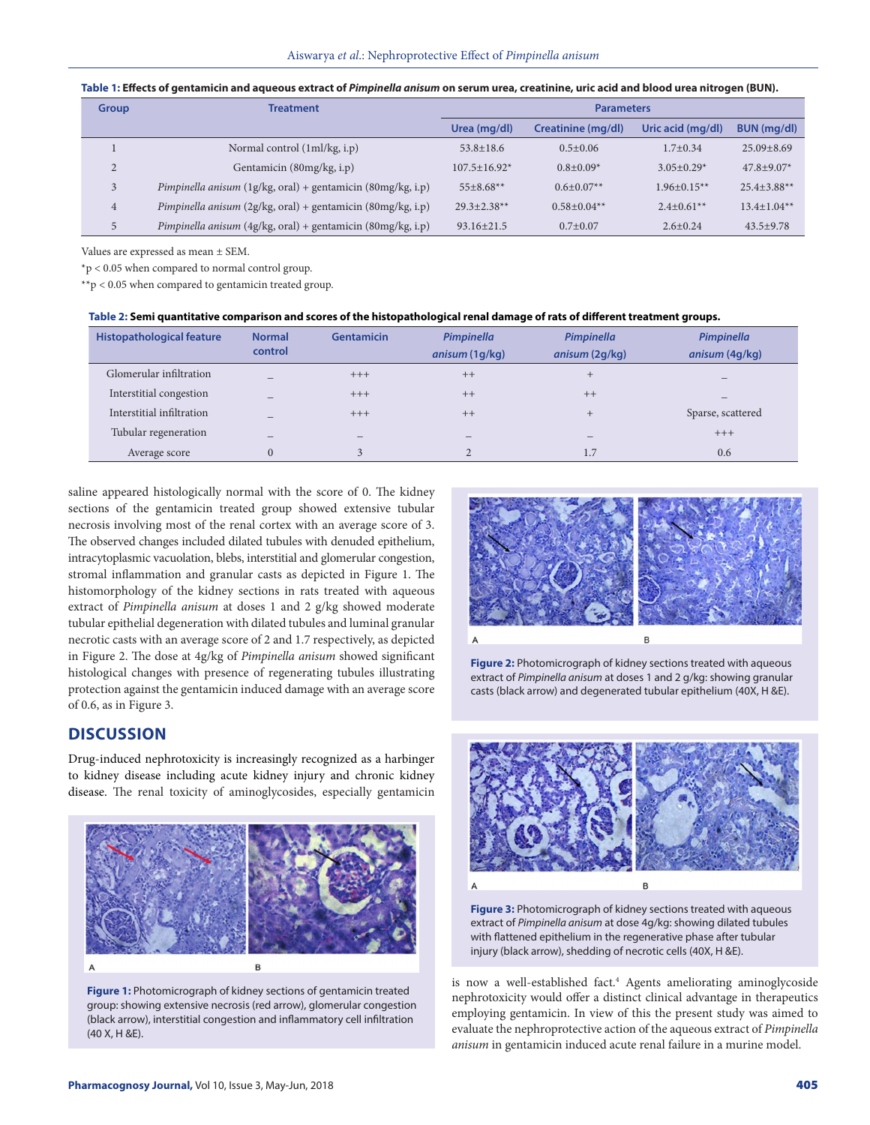|  |  |  | Table 1: Effects of gentamicin and aqueous extract of Pimpinella anisum on serum urea, creatinine, uric acid and blood urea nitrogen (BUN). |
|--|--|--|---------------------------------------------------------------------------------------------------------------------------------------------|
|--|--|--|---------------------------------------------------------------------------------------------------------------------------------------------|

| <b>Group</b> | <b>Treatment</b>                                                   | <b>Parameters</b>   |                    |                   |                  |
|--------------|--------------------------------------------------------------------|---------------------|--------------------|-------------------|------------------|
|              |                                                                    | Urea (mg/dl)        | Creatinine (mg/dl) | Uric acid (mg/dl) | BUN (mg/dl)      |
|              | Normal control (1ml/kg, i.p)                                       | $53.8 + 18.6$       | $0.5 + 0.06$       | $1.7 \pm 0.34$    | $25.09 + 8.69$   |
| 2            | Gentamicin (80mg/kg, i.p)                                          | $107.5 \pm 16.92$ * | $0.8 + 0.09*$      | $3.05+0.29*$      | $47.8 + 9.07*$   |
| 3            | Pimpinella anisum $(1g/kg, oral) + gentamicin (80mg/kg, i.p)$      | $55+8.68**$         | $0.6 + 0.07**$     | $1.96 + 0.15**$   | $25.4 + 3.88$ ** |
| 4            | Pimpinella anisum (2g/kg, oral) + gentamicin (80mg/kg, i.p)        | $29.3 + 2.38**$     | $0.58 + 0.04$ **   | $2.4 \pm 0.61$ ** | $13.4+1.04**$    |
| 5            | <i>Pimpinella anisum</i> (4g/kg, oral) + gentamicin (80mg/kg, i.p) | $93.16 \pm 21.5$    | $0.7+0.07$         | $2.6 + 0.24$      | $43.5+9.78$      |

Values are expressed as mean ± SEM.

\*p < 0.05 when compared to normal control group.

\*\*p < 0.05 when compared to gentamicin treated group.

| Table 2: Semi quantitative comparison and scores of the histopathological renal damage of rats of different treatment groups. |  |
|-------------------------------------------------------------------------------------------------------------------------------|--|
|                                                                                                                               |  |

| <b>Histopathological feature</b> | <b>Normal</b><br>control | <b>Gentamicin</b>        | Pimpinella               | Pimpinella     | Pimpinella               |
|----------------------------------|--------------------------|--------------------------|--------------------------|----------------|--------------------------|
|                                  |                          |                          | anisum (1g/kg)           | anisum (2g/kg) | anisum (4g/kg)           |
| Glomerular infiltration          | $\overline{\phantom{a}}$ | $+++$                    | $++$                     | $^{+}$         | $\overline{\phantom{a}}$ |
| Interstitial congestion          |                          | $+++$                    | $++$                     | $++$           |                          |
| Interstitial infiltration        |                          | $+++$                    | $++$                     | $^{+}$         | Sparse, scattered        |
| Tubular regeneration             | $\overline{\phantom{a}}$ | $\overline{\phantom{a}}$ | $\overline{\phantom{a}}$ | -              | $+++$                    |
| Average score                    | $\Omega$                 | 3                        |                          | 1.7            | 0.6                      |

saline appeared histologically normal with the score of 0. The kidney sections of the gentamicin treated group showed extensive tubular necrosis involving most of the renal cortex with an average score of 3. The observed changes included dilated tubules with denuded epithelium, intracytoplasmic vacuolation, blebs, interstitial and glomerular congestion, stromal inflammation and granular casts as depicted in Figure 1. The histomorphology of the kidney sections in rats treated with aqueous extract of *Pimpinella anisum* at doses 1 and 2 g/kg showed moderate tubular epithelial degeneration with dilated tubules and luminal granular necrotic casts with an average score of 2 and 1.7 respectively, as depicted in Figure 2. The dose at 4g/kg of *Pimpinella anisum* showed significant histological changes with presence of regenerating tubules illustrating protection against the gentamicin induced damage with an average score of 0.6, as in Figure 3.

## **DISCUSSION**

Drug-induced nephrotoxicity is increasingly recognized as a harbinger to kidney disease including acute kidney injury and chronic kidney disease. The renal toxicity of aminoglycosides, especially gentamicin



**Figure 1:** Photomicrograph of kidney sections of gentamicin treated group: showing extensive necrosis (red arrow), glomerular congestion (black arrow), interstitial congestion and inflammatory cell infiltration (40 X, H &E).



**Figure 2:** Photomicrograph of kidney sections treated with aqueous extract of *Pimpinella anisum* at doses 1 and 2 g/kg: showing granular casts (black arrow) and degenerated tubular epithelium (40X, H &E).



**Figure 3:** Photomicrograph of kidney sections treated with aqueous extract of *Pimpinella anisum* at dose 4g/kg: showing dilated tubules with flattened epithelium in the regenerative phase after tubular injury (black arrow), shedding of necrotic cells (40X, H &E).

is now a well-established fact.<sup>4</sup> Agents ameliorating aminoglycoside nephrotoxicity would offer a distinct clinical advantage in therapeutics employing gentamicin. In view of this the present study was aimed to evaluate the nephroprotective action of the aqueous extract of *Pimpinella anisum* in gentamicin induced acute renal failure in a murine model.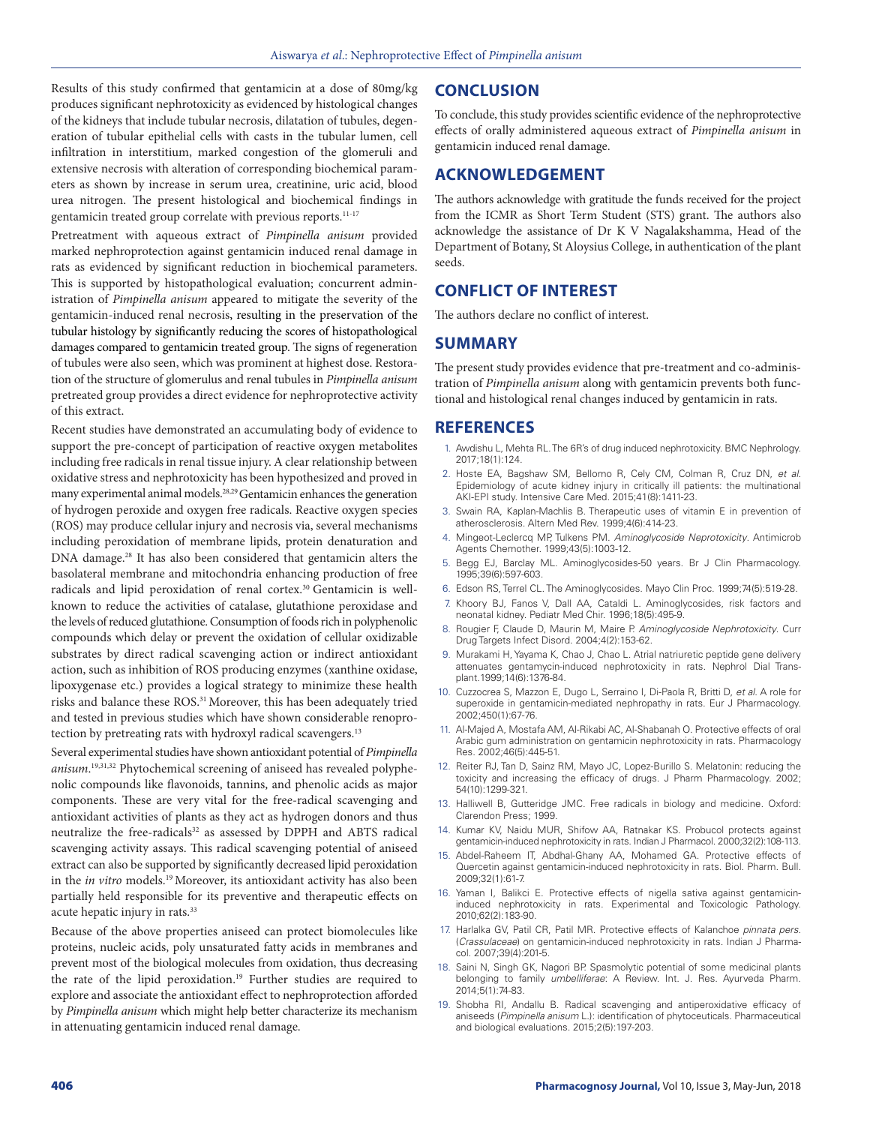Results of this study confirmed that gentamicin at a dose of 80mg/kg produces significant nephrotoxicity as evidenced by histological changes of the kidneys that include tubular necrosis, dilatation of tubules, degeneration of tubular epithelial cells with casts in the tubular lumen, cell infiltration in interstitium, marked congestion of the glomeruli and extensive necrosis with alteration of corresponding biochemical parameters as shown by increase in serum urea, creatinine, uric acid, blood urea nitrogen. The present histological and biochemical findings in gentamicin treated group correlate with previous reports.<sup>11-17</sup>

Pretreatment with aqueous extract of *Pimpinella anisum* provided marked nephroprotection against gentamicin induced renal damage in rats as evidenced by significant reduction in biochemical parameters. This is supported by histopathological evaluation; concurrent administration of *Pimpinella anisum* appeared to mitigate the severity of the gentamicin-induced renal necrosis, resulting in the preservation of the tubular histology by significantly reducing the scores of histopathological damages compared to gentamicin treated group. The signs of regeneration of tubules were also seen, which was prominent at highest dose. Restoration of the structure of glomerulus and renal tubules in *Pimpinella anisum* pretreated group provides a direct evidence for nephroprotective activity of this extract.

Recent studies have demonstrated an accumulating body of evidence to support the pre-concept of participation of reactive oxygen metabolites including free radicals in renal tissue injury. A clear relationship between oxidative stress and nephrotoxicity has been hypothesized and proved in many experimental animal models.28,29 Gentamicin enhances the generation of hydrogen peroxide and oxygen free radicals. Reactive oxygen species (ROS) may produce cellular injury and necrosis via, several mechanisms including peroxidation of membrane lipids, protein denaturation and DNA damage.<sup>28</sup> It has also been considered that gentamicin alters the basolateral membrane and mitochondria enhancing production of free radicals and lipid peroxidation of renal cortex.<sup>30</sup> Gentamicin is wellknown to reduce the activities of catalase, glutathione peroxidase and the levels of reduced glutathione. Consumption of foods rich in polyphenolic compounds which delay or prevent the oxidation of cellular oxidizable substrates by direct radical scavenging action or indirect antioxidant action, such as inhibition of ROS producing enzymes (xanthine oxidase, lipoxygenase etc.) provides a logical strategy to minimize these health risks and balance these ROS.<sup>31</sup> Moreover, this has been adequately tried and tested in previous studies which have shown considerable renoprotection by pretreating rats with hydroxyl radical scavengers.<sup>13</sup>

Several experimental studies have shown antioxidant potential of *Pimpinella anisum*. 19,31,32 Phytochemical screening of aniseed has revealed polyphenolic compounds like flavonoids, tannins, and phenolic acids as major components. These are very vital for the free-radical scavenging and antioxidant activities of plants as they act as hydrogen donors and thus neutralize the free-radicals<sup>32</sup> as assessed by DPPH and ABTS radical scavenging activity assays. This radical scavenging potential of aniseed extract can also be supported by significantly decreased lipid peroxidation in the *in vitro* models.19 Moreover, its antioxidant activity has also been partially held responsible for its preventive and therapeutic effects on acute hepatic injury in rats.33

Because of the above properties aniseed can protect biomolecules like proteins, nucleic acids, poly unsaturated fatty acids in membranes and prevent most of the biological molecules from oxidation, thus decreasing the rate of the lipid peroxidation.<sup>19</sup> Further studies are required to explore and associate the antioxidant effect to nephroprotection afforded by *Pimpinella anisum* which might help better characterize its mechanism in attenuating gentamicin induced renal damage.

# **CONCLUSION**

To conclude, this study provides scientific evidence of the nephroprotective effects of orally administered aqueous extract of *Pimpinella anisum* in gentamicin induced renal damage.

# **ACKNOWLEDGEMENT**

The authors acknowledge with gratitude the funds received for the project from the ICMR as Short Term Student (STS) grant. The authors also acknowledge the assistance of Dr K V Nagalakshamma, Head of the Department of Botany, St Aloysius College, in authentication of the plant seeds.

# **CONFLICT OF INTEREST**

The authors declare no conflict of interest.

# **SUMMARY**

The present study provides evidence that pre-treatment and co-administration of *Pimpinella anisum* along with gentamicin prevents both functional and histological renal changes induced by gentamicin in rats.

## **REFERENCES**

- 1. Awdishu L, Mehta RL. The 6R's of drug induced nephrotoxicity. BMC Nephrology. 2017;18(1):124.
- 2. Hoste EA, Bagshaw SM, Bellomo R, Cely CM, Colman R, Cruz DN, *et al*. Epidemiology of acute kidney injury in critically ill patients: the multinational AKI-EPI study. Intensive Care Med. 2015;41(8):1411-23.
- 3. Swain RA, Kaplan-Machlis B. Therapeutic uses of vitamin E in prevention of atherosclerosis. Altern Med Rev. 1999;4(6):414-23.
- 4. Mingeot-Leclercq MP, Tulkens PM. *Aminoglycoside Neprotoxicity*. Antimicrob Agents Chemother. 1999;43(5):1003-12.
- 5. Begg EJ, Barclay ML. Aminoglycosides-50 years. Br J Clin Pharmacology. 1995;39(6):597-603.
- 6. Edson RS, Terrel CL. The Aminoglycosides. Mayo Clin Proc. 1999;74(5):519-28.
- 7. Khoory BJ, Fanos V, Dall AA, Cataldi L. Aminoglycosides, risk factors and neonatal kidney. Pediatr Med Chir. 1996;18(5):495-9.
- 8. Rougier F, Claude D, Maurin M, Maire P. *Aminoglycoside Nephrotoxicity*. Curr Drug Targets Infect Disord. 2004;4(2):153-62.
- 9. Murakami H, Yayama K, Chao J, Chao L. Atrial natriuretic peptide gene delivery attenuates gentamycin-induced nephrotoxicity in rats. Nephrol Dial Transplant.1999;14(6):1376-84.
- 10. Cuzzocrea S, Mazzon E, Dugo L, Serraino I, Di-Paola R, Britti D, *et al*. A role for superoxide in gentamicin-mediated nephropathy in rats. Eur J Pharmacology. 2002;450(1):67-76.
- 11. Al-Majed A, Mostafa AM, Al-Rikabi AC, Al-Shabanah O. Protective effects of oral Arabic gum administration on gentamicin nephrotoxicity in rats. Pharmacology Res. 2002;46(5):445-51.
- 12. Reiter RJ, Tan D, Sainz RM, Mayo JC, Lopez-Burillo S. Melatonin: reducing the toxicity and increasing the efficacy of drugs. J Pharm Pharmacology. 2002; 54(10):1299-321.
- 13. Halliwell B, Gutteridge JMC. Free radicals in biology and medicine. Oxford: Clarendon Press; 1999.
- 14. Kumar KV, Naidu MUR, Shifow AA, Ratnakar KS. Probucol protects against gentamicin-induced nephrotoxicity in rats. Indian J Pharmacol. 2000;32(2):108-113.
- 15. Abdel-Raheem IT, Abdhal-Ghany AA, Mohamed GA. Protective effects of Quercetin against gentamicin-induced nephrotoxicity in rats. Biol. Pharm. Bull. 2009;32(1):61-7.
- 16. Yaman I, Balikci E. Protective effects of nigella sativa against gentamicininduced nephrotoxicity in rats. Experimental and Toxicologic Pathology. 2010;62(2):183-90.
- 17. Harlalka GV, Patil CR, Patil MR. Protective effects of Kalanchoe *pinnata pers*. (*Crassulaceae*) on gentamicin-induced nephrotoxicity in rats. Indian J Pharmacol. 2007;39(4):201-5.
- 18. Saini N, Singh GK, Nagori BP. Spasmolytic potential of some medicinal plants belonging to family *umbelliferae*: A Review. Int. J. Res. Ayurveda Pharm. 2014;5(1):74-83.
- 19. Shobha RI, Andallu B. Radical scavenging and antiperoxidative efficacy of aniseeds (*Pimpinella anisum* L.): identification of phytoceuticals. Pharmaceutical and biological evaluations. 2015;2(5):197-203.